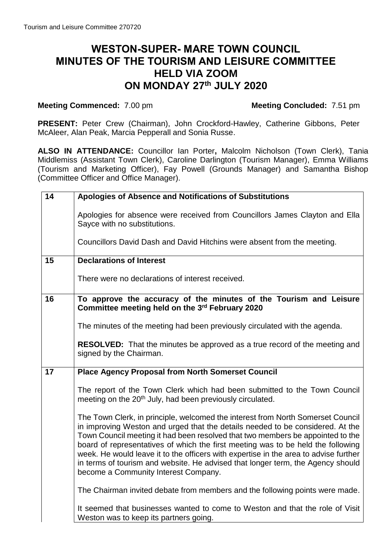## **WESTON-SUPER- MARE TOWN COUNCIL MINUTES OF THE TOURISM AND LEISURE COMMITTEE HELD VIA ZOOM ON MONDAY 27th JULY 2020**

## **Meeting Commenced:** 7.00 pm

**PRESENT:** Peter Crew (Chairman), John Crockford-Hawley, Catherine Gibbons, Peter McAleer, Alan Peak, Marcia Pepperall and Sonia Russe.

**ALSO IN ATTENDANCE:** Councillor Ian Porter**,** Malcolm Nicholson (Town Clerk), Tania Middlemiss (Assistant Town Clerk), Caroline Darlington (Tourism Manager), Emma Williams (Tourism and Marketing Officer), Fay Powell (Grounds Manager) and Samantha Bishop (Committee Officer and Office Manager).

| 14 | Apologies of Absence and Notifications of Substitutions                                                                                                                                                                                                                                                                                                                                                                                                                                                                                                    |
|----|------------------------------------------------------------------------------------------------------------------------------------------------------------------------------------------------------------------------------------------------------------------------------------------------------------------------------------------------------------------------------------------------------------------------------------------------------------------------------------------------------------------------------------------------------------|
|    | Apologies for absence were received from Councillors James Clayton and Ella<br>Sayce with no substitutions.<br>Councillors David Dash and David Hitchins were absent from the meeting.                                                                                                                                                                                                                                                                                                                                                                     |
|    |                                                                                                                                                                                                                                                                                                                                                                                                                                                                                                                                                            |
| 15 | <b>Declarations of Interest</b>                                                                                                                                                                                                                                                                                                                                                                                                                                                                                                                            |
|    | There were no declarations of interest received.                                                                                                                                                                                                                                                                                                                                                                                                                                                                                                           |
| 16 | To approve the accuracy of the minutes of the Tourism and Leisure<br>Committee meeting held on the 3rd February 2020                                                                                                                                                                                                                                                                                                                                                                                                                                       |
|    | The minutes of the meeting had been previously circulated with the agenda.                                                                                                                                                                                                                                                                                                                                                                                                                                                                                 |
|    | <b>RESOLVED:</b> That the minutes be approved as a true record of the meeting and<br>signed by the Chairman.                                                                                                                                                                                                                                                                                                                                                                                                                                               |
| 17 | <b>Place Agency Proposal from North Somerset Council</b>                                                                                                                                                                                                                                                                                                                                                                                                                                                                                                   |
|    | The report of the Town Clerk which had been submitted to the Town Council<br>meeting on the 20 <sup>th</sup> July, had been previously circulated.                                                                                                                                                                                                                                                                                                                                                                                                         |
|    | The Town Clerk, in principle, welcomed the interest from North Somerset Council<br>in improving Weston and urged that the details needed to be considered. At the<br>Town Council meeting it had been resolved that two members be appointed to the<br>board of representatives of which the first meeting was to be held the following<br>week. He would leave it to the officers with expertise in the area to advise further<br>in terms of tourism and website. He advised that longer term, the Agency should<br>become a Community Interest Company. |
|    | The Chairman invited debate from members and the following points were made.                                                                                                                                                                                                                                                                                                                                                                                                                                                                               |
|    | It seemed that businesses wanted to come to Weston and that the role of Visit<br>Weston was to keep its partners going.                                                                                                                                                                                                                                                                                                                                                                                                                                    |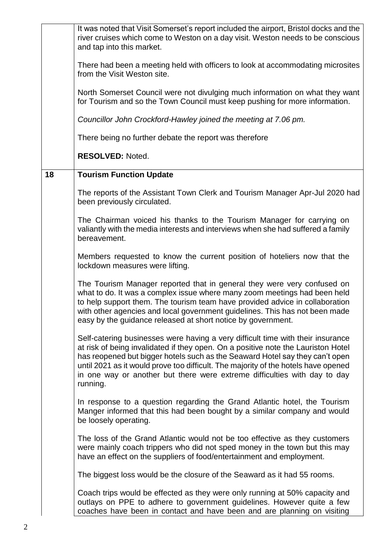|    | It was noted that Visit Somerset's report included the airport, Bristol docks and the<br>river cruises which come to Weston on a day visit. Weston needs to be conscious<br>and tap into this market.                                                                                                                                                                                                                               |
|----|-------------------------------------------------------------------------------------------------------------------------------------------------------------------------------------------------------------------------------------------------------------------------------------------------------------------------------------------------------------------------------------------------------------------------------------|
|    | There had been a meeting held with officers to look at accommodating microsites<br>from the Visit Weston site.                                                                                                                                                                                                                                                                                                                      |
|    | North Somerset Council were not divulging much information on what they want<br>for Tourism and so the Town Council must keep pushing for more information.                                                                                                                                                                                                                                                                         |
|    | Councillor John Crockford-Hawley joined the meeting at 7.06 pm.                                                                                                                                                                                                                                                                                                                                                                     |
|    | There being no further debate the report was therefore                                                                                                                                                                                                                                                                                                                                                                              |
|    | <b>RESOLVED: Noted.</b>                                                                                                                                                                                                                                                                                                                                                                                                             |
| 18 | <b>Tourism Function Update</b>                                                                                                                                                                                                                                                                                                                                                                                                      |
|    | The reports of the Assistant Town Clerk and Tourism Manager Apr-Jul 2020 had<br>been previously circulated.                                                                                                                                                                                                                                                                                                                         |
|    | The Chairman voiced his thanks to the Tourism Manager for carrying on<br>valiantly with the media interests and interviews when she had suffered a family<br>bereavement.                                                                                                                                                                                                                                                           |
|    | Members requested to know the current position of hoteliers now that the<br>lockdown measures were lifting.                                                                                                                                                                                                                                                                                                                         |
|    | The Tourism Manager reported that in general they were very confused on<br>what to do. It was a complex issue where many zoom meetings had been held<br>to help support them. The tourism team have provided advice in collaboration<br>with other agencies and local government guidelines. This has not been made<br>easy by the guidance released at short notice by government.                                                 |
|    | Self-catering businesses were having a very difficult time with their insurance<br>at risk of being invalidated if they open. On a positive note the Lauriston Hotel<br>has reopened but bigger hotels such as the Seaward Hotel say they can't open<br>until 2021 as it would prove too difficult. The majority of the hotels have opened<br>in one way or another but there were extreme difficulties with day to day<br>running. |
|    | In response to a question regarding the Grand Atlantic hotel, the Tourism<br>Manger informed that this had been bought by a similar company and would<br>be loosely operating.                                                                                                                                                                                                                                                      |
|    | The loss of the Grand Atlantic would not be too effective as they customers<br>were mainly coach trippers who did not sped money in the town but this may<br>have an effect on the suppliers of food/entertainment and employment.                                                                                                                                                                                                  |
|    | The biggest loss would be the closure of the Seaward as it had 55 rooms.                                                                                                                                                                                                                                                                                                                                                            |
|    | Coach trips would be effected as they were only running at 50% capacity and<br>outlays on PPE to adhere to government guidelines. However quite a few<br>coaches have been in contact and have been and are planning on visiting                                                                                                                                                                                                    |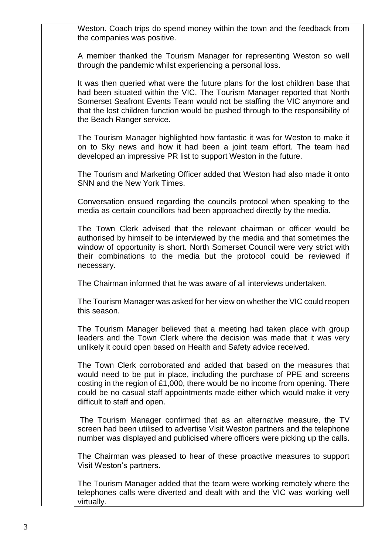Weston. Coach trips do spend money within the town and the feedback from the companies was positive.

A member thanked the Tourism Manager for representing Weston so well through the pandemic whilst experiencing a personal loss.

It was then queried what were the future plans for the lost children base that had been situated within the VIC. The Tourism Manager reported that North Somerset Seafront Events Team would not be staffing the VIC anymore and that the lost children function would be pushed through to the responsibility of the Beach Ranger service.

The Tourism Manager highlighted how fantastic it was for Weston to make it on to Sky news and how it had been a joint team effort. The team had developed an impressive PR list to support Weston in the future.

The Tourism and Marketing Officer added that Weston had also made it onto SNN and the New York Times.

Conversation ensued regarding the councils protocol when speaking to the media as certain councillors had been approached directly by the media.

The Town Clerk advised that the relevant chairman or officer would be authorised by himself to be interviewed by the media and that sometimes the window of opportunity is short. North Somerset Council were very strict with their combinations to the media but the protocol could be reviewed if necessary.

The Chairman informed that he was aware of all interviews undertaken.

The Tourism Manager was asked for her view on whether the VIC could reopen this season.

The Tourism Manager believed that a meeting had taken place with group leaders and the Town Clerk where the decision was made that it was very unlikely it could open based on Health and Safety advice received.

The Town Clerk corroborated and added that based on the measures that would need to be put in place, including the purchase of PPE and screens costing in the region of £1,000, there would be no income from opening. There could be no casual staff appointments made either which would make it very difficult to staff and open.

The Tourism Manager confirmed that as an alternative measure, the TV screen had been utilised to advertise Visit Weston partners and the telephone number was displayed and publicised where officers were picking up the calls.

The Chairman was pleased to hear of these proactive measures to support Visit Weston's partners.

The Tourism Manager added that the team were working remotely where the telephones calls were diverted and dealt with and the VIC was working well virtually.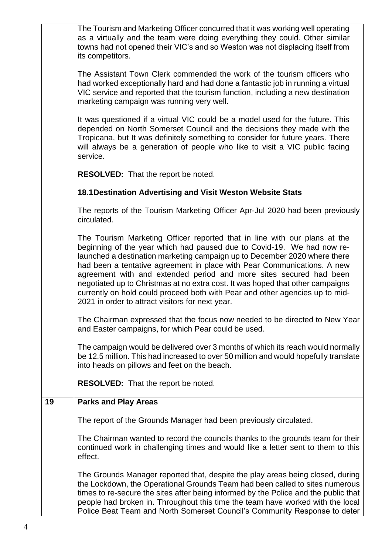|    | The Grounds Manager reported that, despite the play areas being closed, during<br>the Lockdown, the Operational Grounds Team had been called to sites numerous<br>times to re-secure the sites after being informed by the Police and the public that<br>people had broken in. Throughout this time the team have worked with the local<br>Police Beat Team and North Somerset Council's Community Response to deter                                                                                                                                                                                    |
|----|---------------------------------------------------------------------------------------------------------------------------------------------------------------------------------------------------------------------------------------------------------------------------------------------------------------------------------------------------------------------------------------------------------------------------------------------------------------------------------------------------------------------------------------------------------------------------------------------------------|
|    | The Chairman wanted to record the councils thanks to the grounds team for their<br>continued work in challenging times and would like a letter sent to them to this<br>effect.                                                                                                                                                                                                                                                                                                                                                                                                                          |
|    | The report of the Grounds Manager had been previously circulated.                                                                                                                                                                                                                                                                                                                                                                                                                                                                                                                                       |
| 19 | <b>Parks and Play Areas</b>                                                                                                                                                                                                                                                                                                                                                                                                                                                                                                                                                                             |
|    | be 12.5 million. This had increased to over 50 million and would hopefully translate<br>into heads on pillows and feet on the beach.<br><b>RESOLVED:</b> That the report be noted.                                                                                                                                                                                                                                                                                                                                                                                                                      |
|    | The campaign would be delivered over 3 months of which its reach would normally                                                                                                                                                                                                                                                                                                                                                                                                                                                                                                                         |
|    | The Chairman expressed that the focus now needed to be directed to New Year<br>and Easter campaigns, for which Pear could be used.                                                                                                                                                                                                                                                                                                                                                                                                                                                                      |
|    | The Tourism Marketing Officer reported that in line with our plans at the<br>beginning of the year which had paused due to Covid-19. We had now re-<br>launched a destination marketing campaign up to December 2020 where there<br>had been a tentative agreement in place with Pear Communications. A new<br>agreement with and extended period and more sites secured had been<br>negotiated up to Christmas at no extra cost. It was hoped that other campaigns<br>currently on hold could proceed both with Pear and other agencies up to mid-<br>2021 in order to attract visitors for next year. |
|    | The reports of the Tourism Marketing Officer Apr-Jul 2020 had been previously<br>circulated.                                                                                                                                                                                                                                                                                                                                                                                                                                                                                                            |
|    | 18.1 Destination Advertising and Visit Weston Website Stats                                                                                                                                                                                                                                                                                                                                                                                                                                                                                                                                             |
|    | <b>RESOLVED:</b> That the report be noted.                                                                                                                                                                                                                                                                                                                                                                                                                                                                                                                                                              |
|    | It was questioned if a virtual VIC could be a model used for the future. This<br>depended on North Somerset Council and the decisions they made with the<br>Tropicana, but It was definitely something to consider for future years. There<br>will always be a generation of people who like to visit a VIC public facing<br>service.                                                                                                                                                                                                                                                                   |
|    | The Assistant Town Clerk commended the work of the tourism officers who<br>had worked exceptionally hard and had done a fantastic job in running a virtual<br>VIC service and reported that the tourism function, including a new destination<br>marketing campaign was running very well.                                                                                                                                                                                                                                                                                                              |
|    | The Tourism and Marketing Officer concurred that it was working well operating<br>as a virtually and the team were doing everything they could. Other similar<br>towns had not opened their VIC's and so Weston was not displacing itself from<br>its competitors.                                                                                                                                                                                                                                                                                                                                      |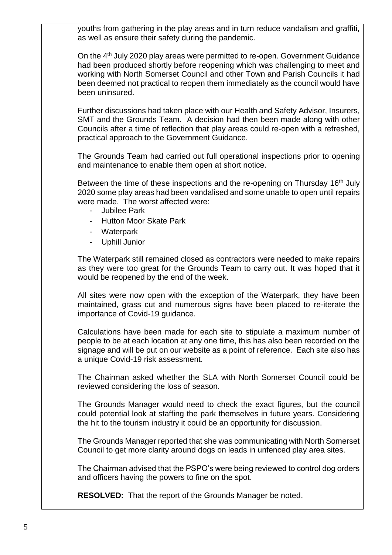youths from gathering in the play areas and in turn reduce vandalism and graffiti, as well as ensure their safety during the pandemic.

On the 4th July 2020 play areas were permitted to re-open. Government Guidance had been produced shortly before reopening which was challenging to meet and working with North Somerset Council and other Town and Parish Councils it had been deemed not practical to reopen them immediately as the council would have been uninsured.

Further discussions had taken place with our Health and Safety Advisor, Insurers, SMT and the Grounds Team. A decision had then been made along with other Councils after a time of reflection that play areas could re-open with a refreshed, practical approach to the Government Guidance.

The Grounds Team had carried out full operational inspections prior to opening and maintenance to enable them open at short notice.

Between the time of these inspections and the re-opening on Thursday 16<sup>th</sup> July 2020 some play areas had been vandalised and some unable to open until repairs were made. The worst affected were:

- Jubilee Park
- Hutton Moor Skate Park
- Waterpark
- Uphill Junior

The Waterpark still remained closed as contractors were needed to make repairs as they were too great for the Grounds Team to carry out. It was hoped that it would be reopened by the end of the week.

All sites were now open with the exception of the Waterpark, they have been maintained, grass cut and numerous signs have been placed to re-iterate the importance of Covid-19 guidance.

Calculations have been made for each site to stipulate a maximum number of people to be at each location at any one time, this has also been recorded on the signage and will be put on our website as a point of reference. Each site also has a unique Covid-19 risk assessment.

The Chairman asked whether the SLA with North Somerset Council could be reviewed considering the loss of season.

The Grounds Manager would need to check the exact figures, but the council could potential look at staffing the park themselves in future years. Considering the hit to the tourism industry it could be an opportunity for discussion.

The Grounds Manager reported that she was communicating with North Somerset Council to get more clarity around dogs on leads in unfenced play area sites.

The Chairman advised that the PSPO's were being reviewed to control dog orders and officers having the powers to fine on the spot.

**RESOLVED:** That the report of the Grounds Manager be noted.